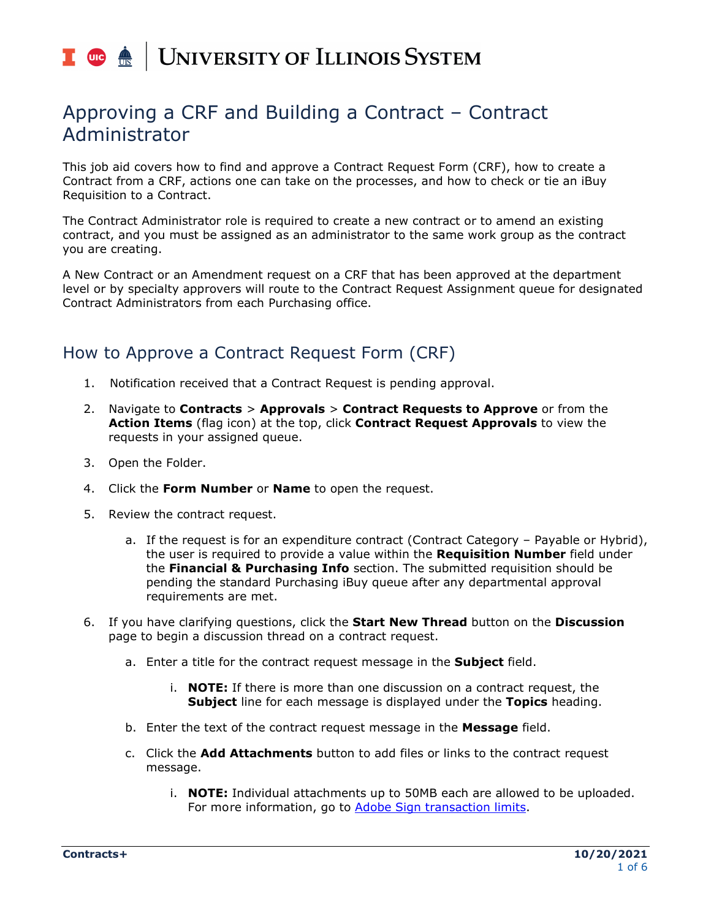# I **C**  $\triangle$  UNIVERSITY OF ILLINOIS SYSTEM

## Approving a CRF and Building a Contract – Contract Administrator

This job aid covers how to find and approve a Contract Request Form (CRF), how to create a Contract from a CRF, actions one can take on the processes, and how to check or tie an iBuy Requisition to a Contract.

The Contract Administrator role is required to create a new contract or to amend an existing contract, and you must be assigned as an administrator to the same work group as the contract you are creating.

A New Contract or an Amendment request on a CRF that has been approved at the department level or by specialty approvers will route to the Contract Request Assignment queue for designated Contract Administrators from each Purchasing office.

## How to Approve a Contract Request Form (CRF)

- 1. Notification received that a Contract Request is pending approval.
- 2. Navigate to **Contracts** > **Approvals** > **Contract Requests to Approve** or from the **Action Items** (flag icon) at the top, click **Contract Request Approvals** to view the requests in your assigned queue.
- 3. Open the Folder.
- 4. Click the **Form Number** or **Name** to open the request.
- 5. Review the contract request.
	- a. If the request is for an expenditure contract (Contract Category Payable or Hybrid), the user is required to provide a value within the **Requisition Number** field under the **Financial & Purchasing Info** section. The submitted requisition should be pending the standard Purchasing iBuy queue after any departmental approval requirements are met.
- 6. If you have clarifying questions, click the **Start New Thread** button on the **Discussion** page to begin a discussion thread on a contract request.
	- a. Enter a title for the contract request message in the **Subject** field.
		- i. **NOTE:** If there is more than one discussion on a contract request, the **Subject** line for each message is displayed under the **Topics** heading.
	- b. Enter the text of the contract request message in the **Message** field.
	- c. Click the **Add Attachments** button to add files or links to the contract request message.
		- i. **NOTE:** Individual attachments up to 50MB each are allowed to be uploaded. For more information, go to [Adobe Sign transaction limits.](https://helpx.adobe.com/sign/using/transaction-limits.html)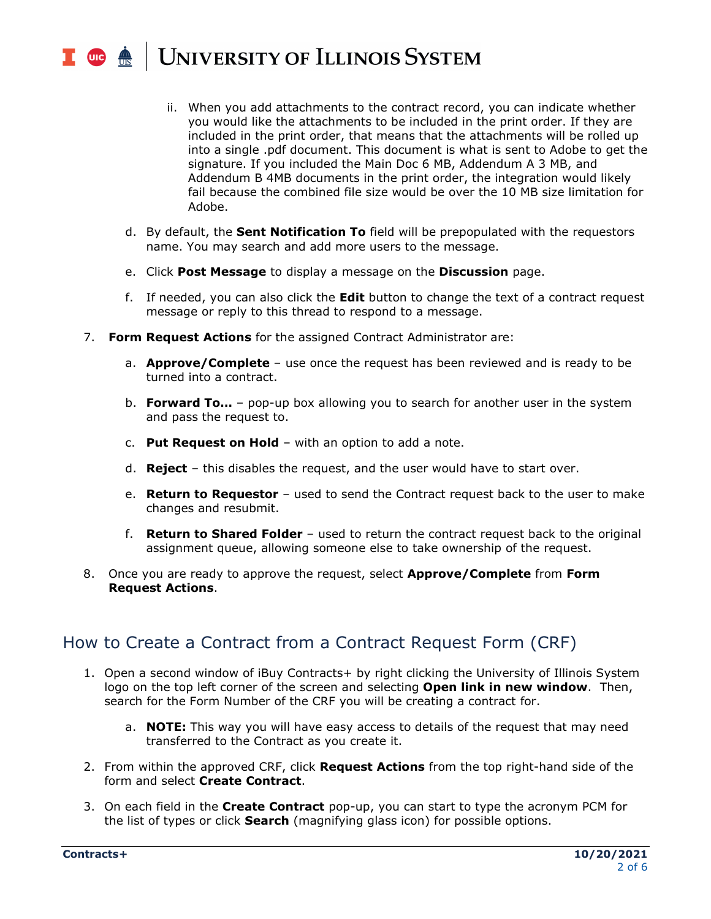## UNIVERSITY OF ILLINOIS SYSTEM T une de

- ii. When you add attachments to the contract record, you can indicate whether you would like the attachments to be included in the print order. If they are included in the print order, that means that the attachments will be rolled up into a single .pdf document. This document is what is sent to Adobe to get the signature. If you included the Main Doc 6 MB, Addendum A 3 MB, and Addendum B 4MB documents in the print order, the integration would likely fail because the combined file size would be over the 10 MB size limitation for Adobe.
- d. By default, the **Sent Notification To** field will be prepopulated with the requestors name. You may search and add more users to the message.
- e. Click **Post Message** to display a message on the **Discussion** page.
- f. If needed, you can also click the **Edit** button to change the text of a contract request message or reply to this thread to respond to a message.
- 7. **Form Request Actions** for the assigned Contract Administrator are:
	- a. **Approve/Complete** use once the request has been reviewed and is ready to be turned into a contract.
	- b. **Forward To…** pop-up box allowing you to search for another user in the system and pass the request to.
	- c. **Put Request on Hold** with an option to add a note.
	- d. **Reject** this disables the request, and the user would have to start over.
	- e. **Return to Requestor** used to send the Contract request back to the user to make changes and resubmit.
	- f. **Return to Shared Folder** used to return the contract request back to the original assignment queue, allowing someone else to take ownership of the request.
- 8. Once you are ready to approve the request, select **Approve/Complete** from **Form Request Actions**.

## How to Create a Contract from a Contract Request Form (CRF)

- 1. Open a second window of iBuy Contracts+ by right clicking the University of Illinois System logo on the top left corner of the screen and selecting **Open link in new window**. Then, search for the Form Number of the CRF you will be creating a contract for.
	- a. **NOTE:** This way you will have easy access to details of the request that may need transferred to the Contract as you create it.
- 2. From within the approved CRF, click **Request Actions** from the top right-hand side of the form and select **Create Contract**.
- 3. On each field in the **Create Contract** pop-up, you can start to type the acronym PCM for the list of types or click **Search** (magnifying glass icon) for possible options.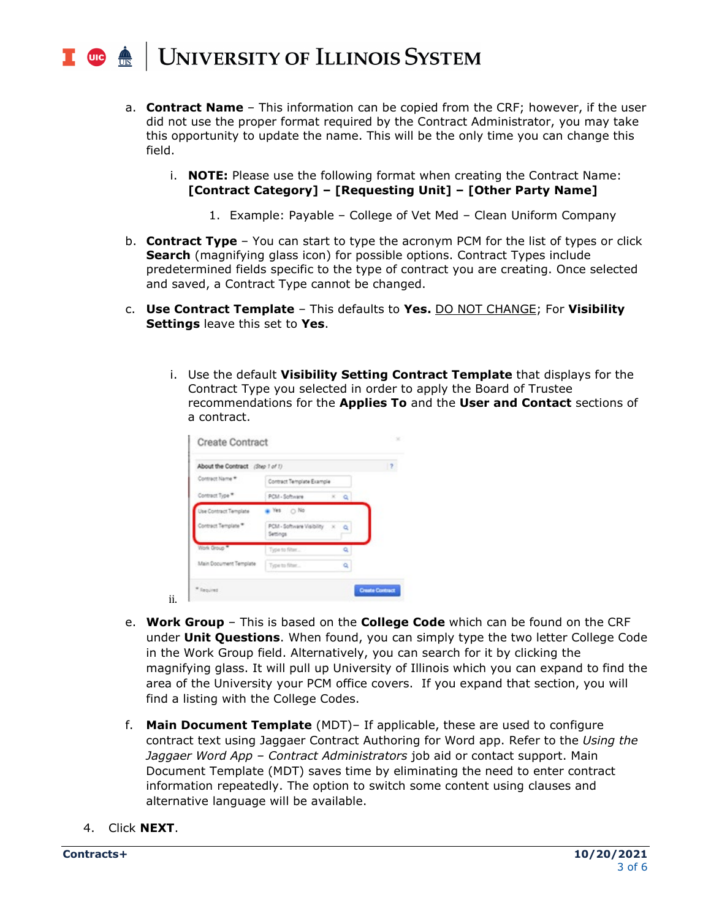### **UNIVERSITY OF ILLINOIS SYSTEM UIC**

- a. **Contract Name** This information can be copied from the CRF; however, if the user did not use the proper format required by the Contract Administrator, you may take this opportunity to update the name. This will be the only time you can change this field.
	- i. **NOTE:** Please use the following format when creating the Contract Name: **[Contract Category] – [Requesting Unit] – [Other Party Name]**
		- 1. Example: Payable College of Vet Med Clean Uniform Company
- b. **Contract Type** You can start to type the acronym PCM for the list of types or click **Search** (magnifying glass icon) for possible options. Contract Types include predetermined fields specific to the type of contract you are creating. Once selected and saved, a Contract Type cannot be changed.
- c. **Use Contract Template** This defaults to **Yes.** DO NOT CHANGE; For **Visibility Settings** leave this set to **Yes**.
	- i. Use the default **Visibility Setting Contract Template** that displays for the Contract Type you selected in order to apply the Board of Trustee recommendations for the **Applies To** and the **User and Contact** sections of a contract.

| About the Contract (Step 1 of 1) |                                           |  |              | $\overline{z}$ |
|----------------------------------|-------------------------------------------|--|--------------|----------------|
| Contract Name *                  | Contract Template Example                 |  |              |                |
| Contract Type *                  | PCM - Software                            |  | $x$ $\alpha$ |                |
| Use Contract Template            | $N$ es $\bigcirc$ No                      |  |              |                |
| Contract Template                | PCM - Software Visibility X Q<br>Settings |  |              |                |
| Work Group                       | Type to filter                            |  | a            |                |
| Main Document Template           | Type to filter                            |  | a            |                |

- e. **Work Group** This is based on the **College Code** which can be found on the CRF under **Unit Questions**. When found, you can simply type the two letter College Code in the Work Group field. Alternatively, you can search for it by clicking the magnifying glass. It will pull up University of Illinois which you can expand to find the area of the University your PCM office covers. If you expand that section, you will find a listing with the College Codes.
- f. **Main Document Template** (MDT)– If applicable, these are used to configure contract text using Jaggaer Contract Authoring for Word app. Refer to the *Using the Jaggaer Word App – Contract Administrators* job aid or contact support. Main Document Template (MDT) saves time by eliminating the need to enter contract information repeatedly. The option to switch some content using clauses and alternative language will be available.
- 4. Click **NEXT**.

ii.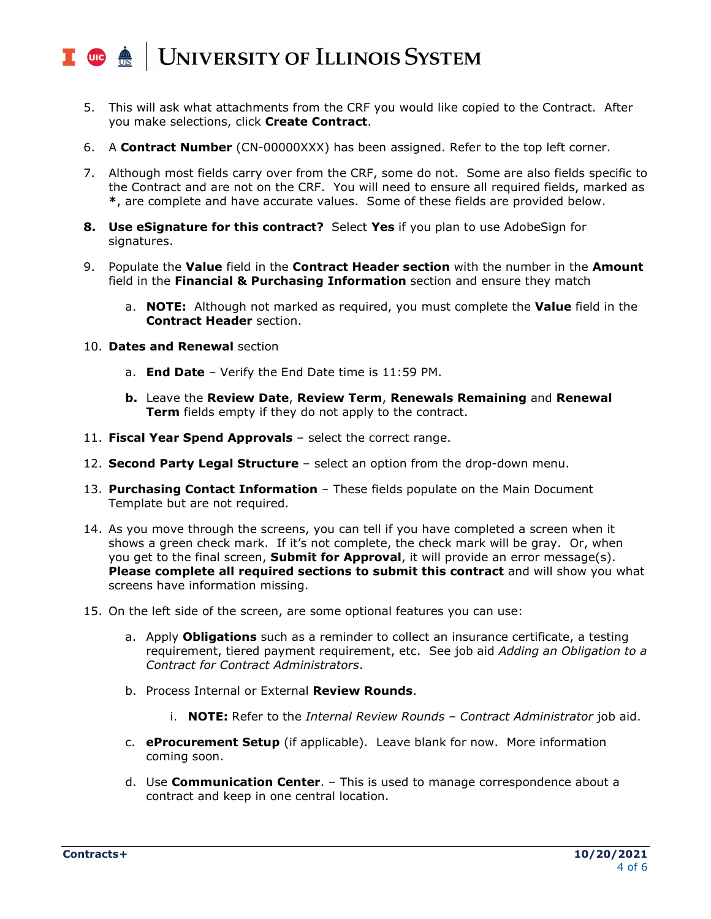#### UNIVERSITY OF ILLINOIS SYSTEM  $\blacksquare$  and  $\bigoplus$

- 5. This will ask what attachments from the CRF you would like copied to the Contract. After you make selections, click **Create Contract**.
- 6. A **Contract Number** (CN-00000XXX) has been assigned. Refer to the top left corner.
- 7. Although most fields carry over from the CRF, some do not. Some are also fields specific to the Contract and are not on the CRF. You will need to ensure all required fields, marked as **\***, are complete and have accurate values. Some of these fields are provided below.
- **8. Use eSignature for this contract?** Select **Yes** if you plan to use AdobeSign for signatures.
- 9. Populate the **Value** field in the **Contract Header section** with the number in the **Amount** field in the **Financial & Purchasing Information** section and ensure they match
	- a. **NOTE:** Although not marked as required, you must complete the **Value** field in the **Contract Header** section.
- 10. **Dates and Renewal** section
	- a. **End Date** Verify the End Date time is 11:59 PM.
	- **b.** Leave the **Review Date**, **Review Term**, **Renewals Remaining** and **Renewal Term** fields empty if they do not apply to the contract.
- 11. **Fiscal Year Spend Approvals** select the correct range.
- 12. **Second Party Legal Structure** select an option from the drop-down menu.
- 13. **Purchasing Contact Information** These fields populate on the Main Document Template but are not required.
- 14. As you move through the screens, you can tell if you have completed a screen when it shows a green check mark. If it's not complete, the check mark will be gray. Or, when you get to the final screen, **Submit for Approval**, it will provide an error message(s). **Please complete all required sections to submit this contract** and will show you what screens have information missing.
- 15. On the left side of the screen, are some optional features you can use:
	- a. Apply **Obligations** such as a reminder to collect an insurance certificate, a testing requirement, tiered payment requirement, etc. See job aid *Adding an Obligation to a Contract for Contract Administrators*.
	- b. Process Internal or External **Review Rounds**.
		- i. **NOTE:** Refer to the *Internal Review Rounds – Contract Administrator* job aid.
	- c. **eProcurement Setup** (if applicable). Leave blank for now. More information coming soon.
	- d. Use **Communication Center**. This is used to manage correspondence about a contract and keep in one central location.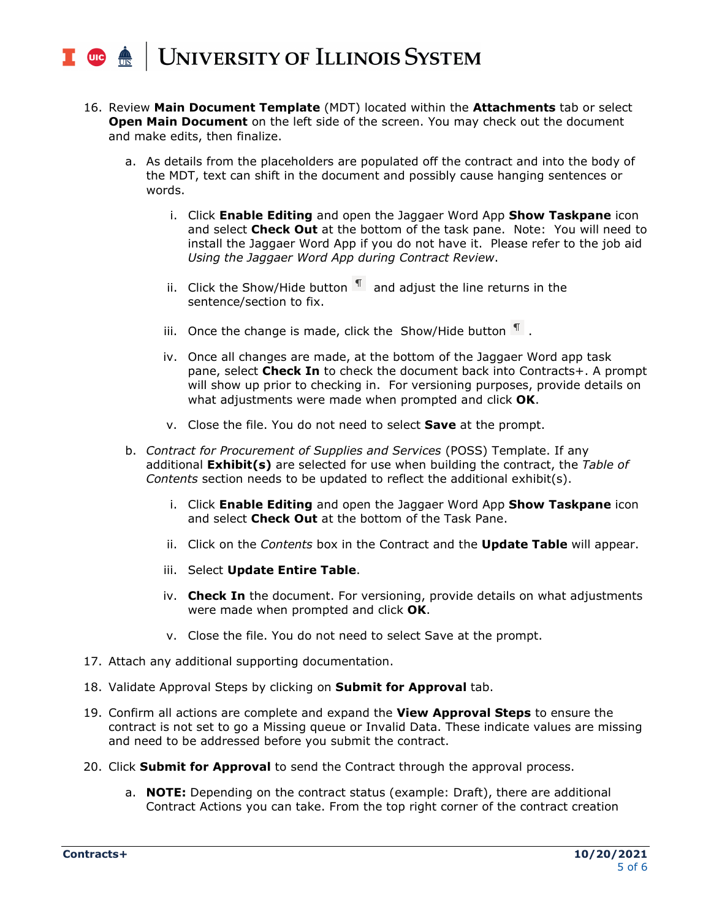

- 16. Review **Main Document Template** (MDT) located within the **Attachments** tab or select **Open Main Document** on the left side of the screen. You may check out the document and make edits, then finalize.
	- a. As details from the placeholders are populated off the contract and into the body of the MDT, text can shift in the document and possibly cause hanging sentences or words.
		- i. Click **Enable Editing** and open the Jaggaer Word App **Show Taskpane** icon and select **Check Out** at the bottom of the task pane. Note: You will need to install the Jaggaer Word App if you do not have it. Please refer to the job aid *Using the Jaggaer Word App during Contract Review*.
		- ii. Click the Show/Hide button  $\mathbb{I}$  and adjust the line returns in the sentence/section to fix.
		- iii. Once the change is made, click the Show/Hide button  $\P$ .
		- iv. Once all changes are made, at the bottom of the Jaggaer Word app task pane, select **Check In** to check the document back into Contracts+. A prompt will show up prior to checking in. For versioning purposes, provide details on what adjustments were made when prompted and click **OK**.
		- v. Close the file. You do not need to select **Save** at the prompt.
	- b. *Contract for Procurement of Supplies and Services* (POSS) Template. If any additional **Exhibit(s)** are selected for use when building the contract, the *Table of Contents* section needs to be updated to reflect the additional exhibit(s).
		- i. Click **Enable Editing** and open the Jaggaer Word App **Show Taskpane** icon and select **Check Out** at the bottom of the Task Pane.
		- ii. Click on the *Contents* box in the Contract and the **Update Table** will appear.
		- iii. Select **Update Entire Table**.
		- iv. **Check In** the document. For versioning, provide details on what adjustments were made when prompted and click **OK**.
		- v. Close the file. You do not need to select Save at the prompt.
- 17. Attach any additional supporting documentation.
- 18. Validate Approval Steps by clicking on **Submit for Approval** tab.
- 19. Confirm all actions are complete and expand the **View Approval Steps** to ensure the contract is not set to go a Missing queue or Invalid Data. These indicate values are missing and need to be addressed before you submit the contract.
- 20. Click **Submit for Approval** to send the Contract through the approval process.
	- a. **NOTE:** Depending on the contract status (example: Draft), there are additional Contract Actions you can take. From the top right corner of the contract creation